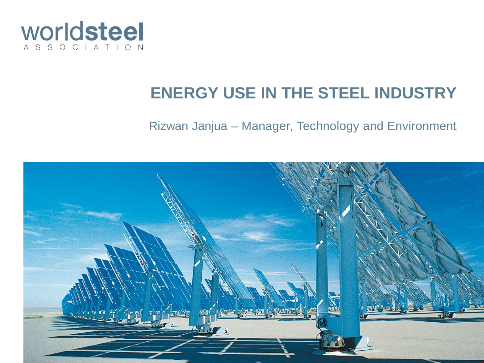

#### **ENERGY USE IN THE STEEL INDUSTRY**

#### Rizwan Janjua – Manager, Technology and Environment

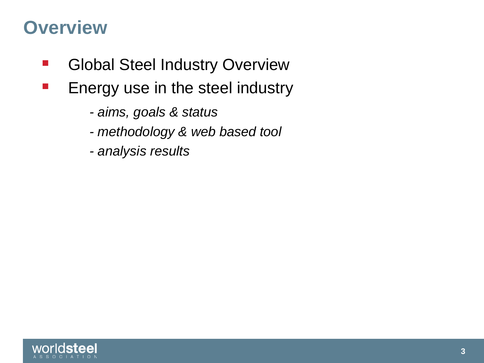### **Overview**

- Global Steel Industry Overview
- **Energy use in the steel industry** 
	- *- aims, goals & status*
	- *- methodology & web based tool*
	- *- analysis results*

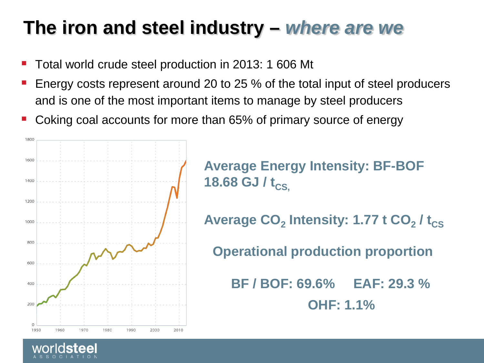## **The iron and steel industry –** *where are we*

- Total world crude steel production in 2013: 1 606 Mt
- Energy costs represent around 20 to 25 % of the total input of steel producers and is one of the most important items to manage by steel producers
- Coking coal accounts for more than 65% of primary source of energy



**Average Energy Intensity: BF-BOF 18.68 GJ/** $t_{CS}$ 

**Average CO<sub>2</sub> Intensity: 1.77 t CO<sub>2</sub> / t<sub>CS</sub>** 

**Operational production proportion**

 **BF / BOF: 69.6% EAF: 29.3 % OHF: 1.1%**

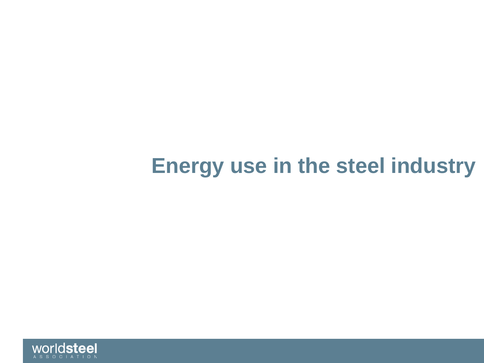## **Energy use in the steel industry**

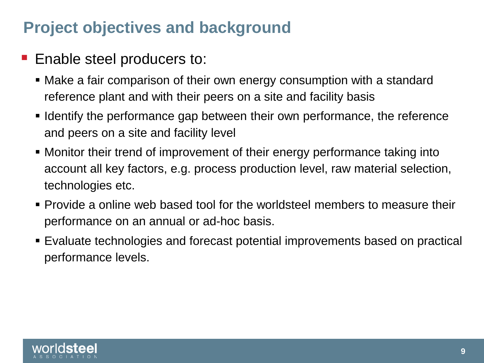#### **Project objectives and background**

- Enable steel producers to:
	- Make a fair comparison of their own energy consumption with a standard reference plant and with their peers on a site and facility basis
	- I dentify the performance gap between their own performance, the reference and peers on a site and facility level
	- Monitor their trend of improvement of their energy performance taking into account all key factors, e.g. process production level, raw material selection, technologies etc.
	- **Provide a online web based tool for the worldsteel members to measure their** performance on an annual or ad-hoc basis.
	- Evaluate technologies and forecast potential improvements based on practical performance levels.

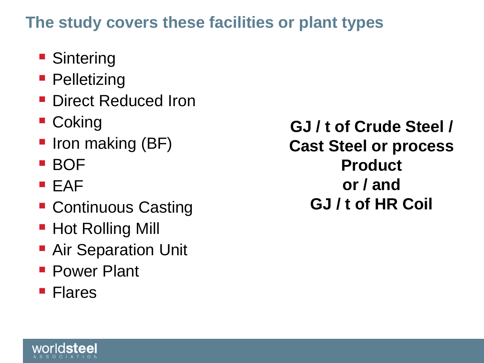#### **The study covers these facilities or plant types**

- **Sintering**
- **Pelletizing**
- Direct Reduced Iron
- Coking
- **Iron making (BF)**
- BOF
- **EAF**
- **Continuous Casting**
- Hot Rolling Mill
- **Air Separation Unit**
- **Power Plant**
- **Flares**

**GJ / t of Crude Steel / Cast Steel or process Product or / and GJ / t of HR Coil**

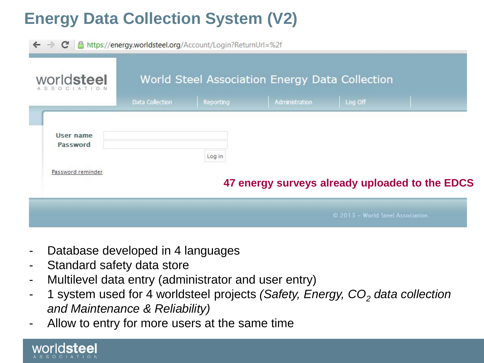### **Energy Data Collection System (V2)**

| C<br>$\leftarrow$ $\rightarrow$<br>worldsteel | A https://energy.worldsteel.org/Account/Login?ReturnUrl=%2f<br>World Steel Association Energy Data Collection |           |                                                |                                   |  |
|-----------------------------------------------|---------------------------------------------------------------------------------------------------------------|-----------|------------------------------------------------|-----------------------------------|--|
|                                               | Data Collection                                                                                               | Reporting | Administration                                 | Log Off                           |  |
| User name<br>Password                         |                                                                                                               | Log in    |                                                |                                   |  |
| Password reminder                             |                                                                                                               |           | 47 energy surveys already uploaded to the EDCS |                                   |  |
|                                               |                                                                                                               |           |                                                | © 2013 - World Steel Association. |  |

- Database developed in 4 languages
- Standard safety data store
- Multilevel data entry (administrator and user entry)
- 1 system used for 4 worldsteel projects *(Safety, Energy, CO<sub>2</sub> data collection and Maintenance & Reliability)*
- Allow to entry for more users at the same time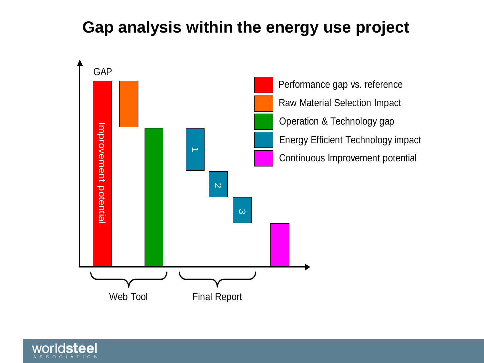#### **Gap analysis within the energy use project**



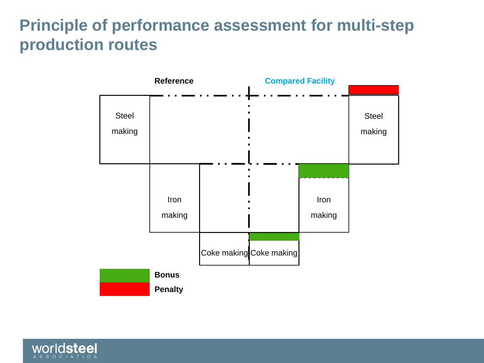#### **Principle of performance assessment for multi-step production routes**



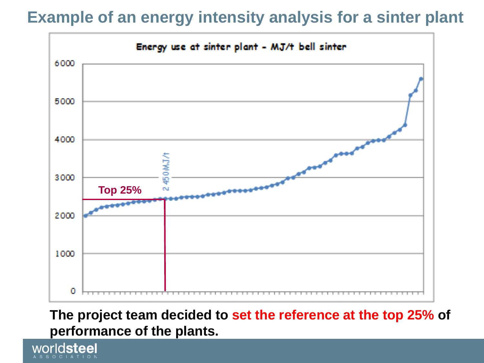#### **Example of an energy intensity analysis for a sinter plant**



**The project team decided to set the reference at the top 25% of performance of the plants.**

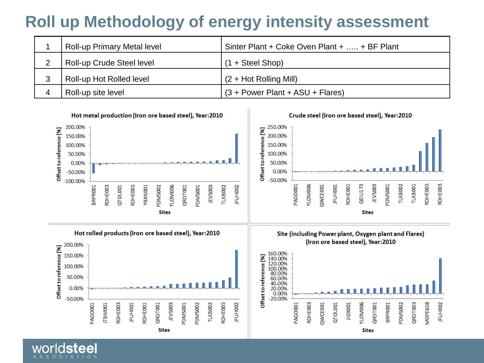#### **Roll up Methodology of energy intensity assessment**

| <b>Roll-up Primary Metal level</b> | Sinter Plant + Coke Oven Plant +  + BF Plant |
|------------------------------------|----------------------------------------------|
| Roll-up Crude Steel level          | $(1 + \text{Steel Shop})$                    |
| Roll-up Hot Rolled level           | $(2 + Hot Rolling Mill)$                     |
| Roll-up site level                 | $(3 + Power Plant + ASU + Flares)$           |

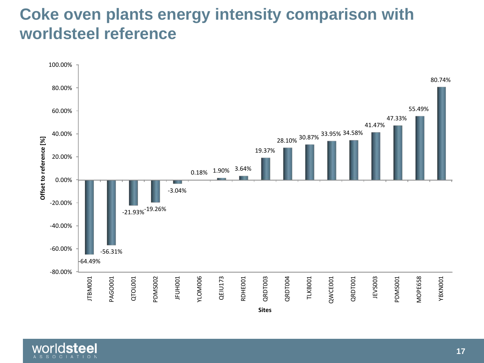#### **Coke oven plants energy intensity comparison with worldsteel reference**



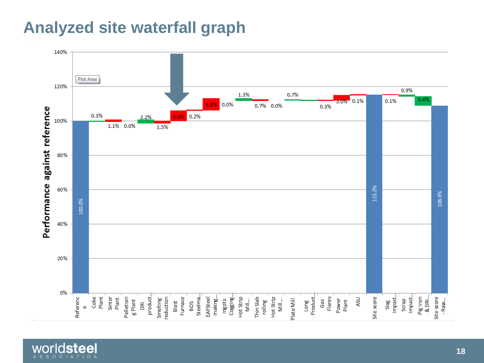#### **Analyzed site waterfall graph**

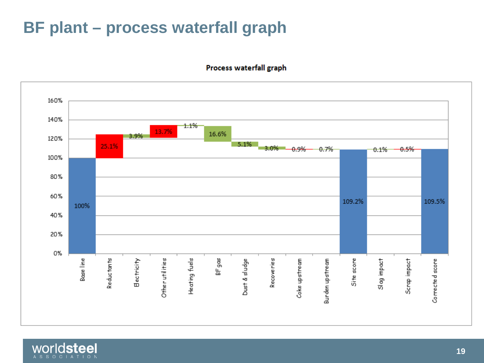#### **BF plant – process waterfall graph**

Process waterfall graph



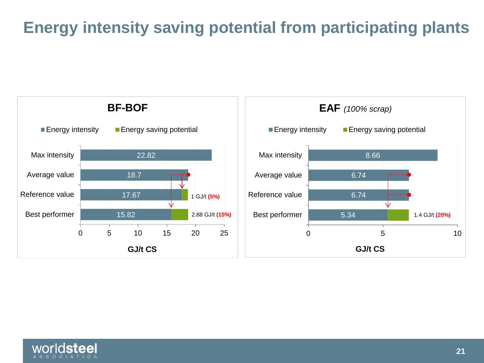#### **Energy intensity saving potential from participating plants**





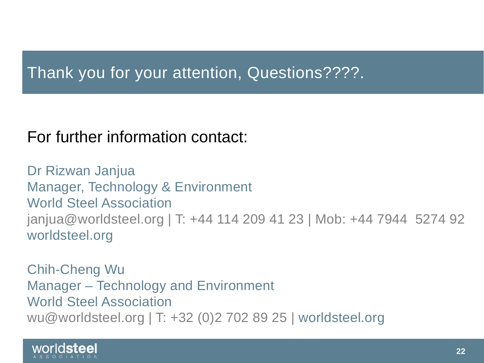#### Thank you for your attention, Questions????.

#### For further information contact:

Dr Rizwan Janjua Manager, Technology & Environment World Steel Association janjua@worldsteel.org | T: +44 114 209 41 23 | Mob: +44 7944 5274 92 worldsteel.org

Chih-Cheng Wu Manager – Technology and Environment World Steel Association wu@worldsteel.org | T: +32 (0)2 702 89 25 | worldsteel.org